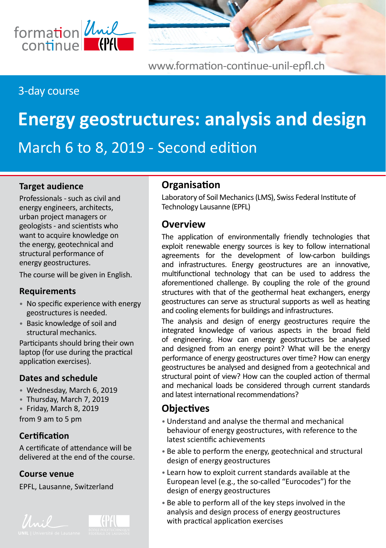

[www.formation-continue-unil-epfl.ch](http://www.formation-continue-unil-epfl.ch)

# 3-day course

# **Energy geostructures: analysis and design** March 6 to 8, 2019 - Second edition

#### **Target audience**

Professionals - such as civil and energy engineers, architects, urban project managers or geologists - and scientists who want to acquire knowledge on the energy, geotechnical and structural performance of energy geostructures.

The course will be given in English.

#### **Requirements**

- No specific experience with energy geostructures is needed.
- Basic knowledge of soil and structural mechanics.

Participants should bring their own laptop (for use during the practical application exercises).

#### **Dates and schedule**

- Wednesday, March 6, 2019
- Thursday, March 7, 2019
- Friday, March 8, 2019
- from 9 am to 5 pm

#### **Certification**

A certificate of attendance will be delivered at the end of the course.

#### **Course venue**

EPFL, Lausanne, Switzerland





# **Organisation**

Laboratory of Soil Mechanics (LMS), Swiss Federal Institute of Technology Lausanne (EPFL)

#### **Overview**

The application of environmentally friendly technologies that exploit renewable energy sources is key to follow international agreements for the development of low-carbon buildings and infrastructures. Energy geostructures are an innovative, multifunctional technology that can be used to address the aforementioned challenge. By coupling the role of the ground structures with that of the geothermal heat exchangers, energy geostructures can serve as structural supports as well as heating and cooling elements for buildings and infrastructures.

The analysis and design of energy geostructures require the integrated knowledge of various aspects in the broad field of engineering. How can energy geostructures be analysed and designed from an energy point? What will be the energy performance of energy geostructures over time? How can energy geostructures be analysed and designed from a geotechnical and structural point of view? How can the coupled action of thermal and mechanical loads be considered through current standards and latest international recommendations?

## **Objectives**

- Understand and analyse the thermal and mechanical behaviour of energy geostructures, with reference to the latest scientific achievements
- Be able to perform the energy, geotechnical and structural design of energy geostructures
- Learn how to exploit current standards available at the European level (e.g., the so-called "Eurocodes") for the design of energy geostructures
- Be able to perform all of the key steps involved in the analysis and design process of energy geostructures with practical application exercises